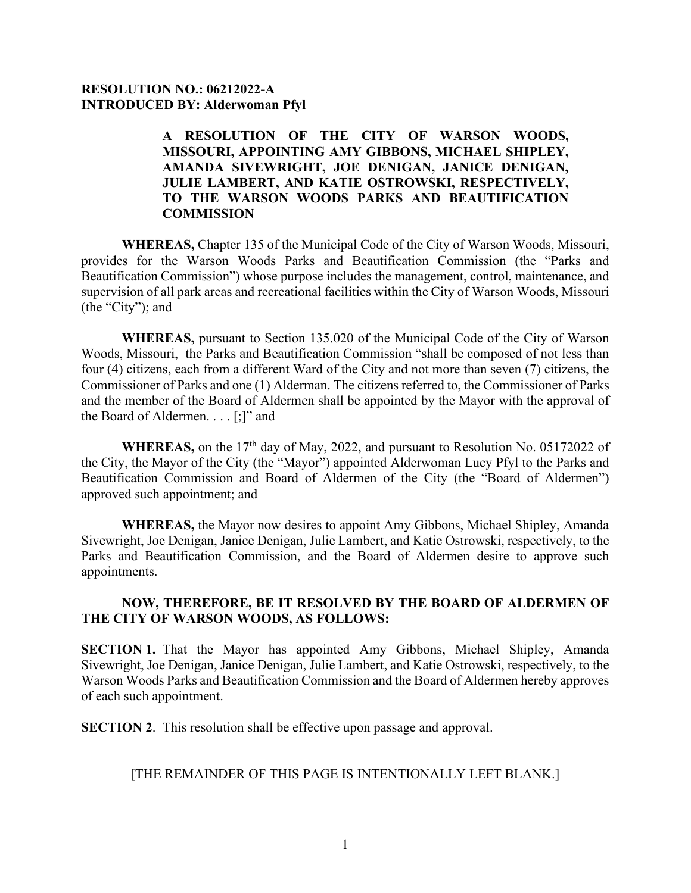## **RESOLUTION NO.: 06212022-A INTRODUCED BY: Alderwoman Pfyl**

## **A RESOLUTION OF THE CITY OF WARSON WOODS, MISSOURI, APPOINTING AMY GIBBONS, MICHAEL SHIPLEY, AMANDA SIVEWRIGHT, JOE DENIGAN, JANICE DENIGAN, JULIE LAMBERT, AND KATIE OSTROWSKI, RESPECTIVELY, TO THE WARSON WOODS PARKS AND BEAUTIFICATION COMMISSION**

**WHEREAS,** Chapter 135 of the Municipal Code of the City of Warson Woods, Missouri, provides for the Warson Woods Parks and Beautification Commission (the "Parks and Beautification Commission") whose purpose includes the management, control, maintenance, and supervision of all park areas and recreational facilities within the City of Warson Woods, Missouri (the "City"); and

**WHEREAS,** pursuant to Section 135.020 of the Municipal Code of the City of Warson Woods, Missouri, the Parks and Beautification Commission "shall be composed of not less than four (4) citizens, each from a different Ward of the City and not more than seven (7) citizens, the Commissioner of Parks and one (1) Alderman. The citizens referred to, the Commissioner of Parks and the member of the Board of Aldermen shall be appointed by the Mayor with the approval of the Board of Aldermen. . . . [;]" and

WHEREAS, on the 17<sup>th</sup> day of May, 2022, and pursuant to Resolution No. 05172022 of the City, the Mayor of the City (the "Mayor") appointed Alderwoman Lucy Pfyl to the Parks and Beautification Commission and Board of Aldermen of the City (the "Board of Aldermen") approved such appointment; and

**WHEREAS,** the Mayor now desires to appoint Amy Gibbons, Michael Shipley, Amanda Sivewright, Joe Denigan, Janice Denigan, Julie Lambert, and Katie Ostrowski, respectively, to the Parks and Beautification Commission, and the Board of Aldermen desire to approve such appointments.

## **NOW, THEREFORE, BE IT RESOLVED BY THE BOARD OF ALDERMEN OF THE CITY OF WARSON WOODS, AS FOLLOWS:**

**SECTION 1.** That the Mayor has appointed Amy Gibbons, Michael Shipley, Amanda Sivewright, Joe Denigan, Janice Denigan, Julie Lambert, and Katie Ostrowski, respectively, to the Warson Woods Parks and Beautification Commission and the Board of Aldermen hereby approves of each such appointment.

**SECTION 2.** This resolution shall be effective upon passage and approval.

## [THE REMAINDER OF THIS PAGE IS INTENTIONALLY LEFT BLANK.]